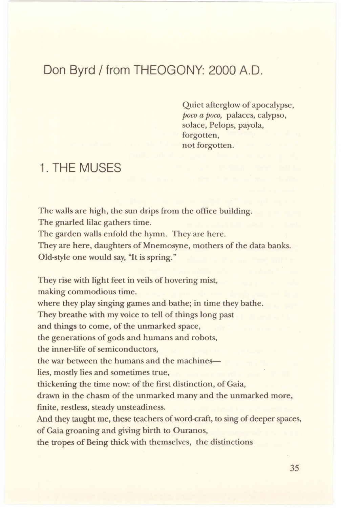## Don Byrd/ from THEOGONY: 2000 A.O.

Quiet afterglow of apocalypse, *poco a poco,* palaces, calypso, solace, Pelops, payola, forgotten, not forgotten.

## 1. THE MUSES

The walls are high, the sun drips from the office building. The gnarled lilac gathers time. The garden walls enfold the hymn. They are here. They are here, daughters of Mnemosyne, mothers of the data banks. Old-style one would say, "It is spring."

They rise with light feet in veils of hovering mist,

making commodious time.

where they play singing games and bathe; in time they bathe.

They breathe with my voice to tell of things long past

and things to come, of the unmarked space,

the generations of gods and humans and robots,

the inner-life of semiconductors,

the war between the humans and the machines-

lies, mostly lies and sometimes true,

thickening the time now: of the first distinction, of Gaia,

drawn in the chasm of the unmarked many and the unmarked more, finite, restless, steady unsteadiness.

And they taught me, these teachers of word-craft, to sing of deeper spaces, of Gaia groaning and giving birth to Ouranos,

the tropes of Being thick with themselves, the distinctions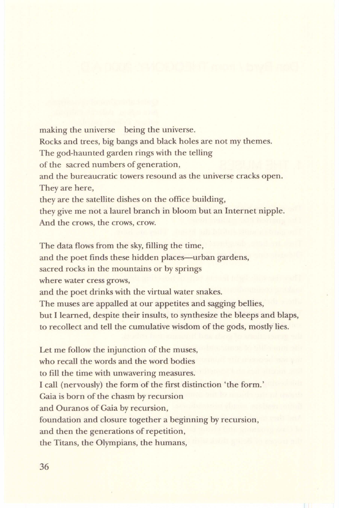making the universe being the universe. Rocks and trees, big bangs and black holes are not my themes. The god-haunted garden rings with the telling of the sacred numbers of generation, and the bureaucratic towers resound as the universe cracks open. They are here, they are the satellite dishes on the office building, they give me not a laurel branch in bloom but an Internet nipple. And the crows, the crows, crow.

The data flows from the sky, filling the time,

and the poet finds these hidden places—urban gardens,

sacred rocks in the mountains or by springs

where water cress grows,

and the poet drinks with the virtual water snakes.

The muses are appalled at our appetites and sagging bellies,

but I learned, despite their insults, to synthesize the bleeps and blaps, to recollect and tell the cumulative wisdom of the gods, mostly lies.

Let me follow the injunction of the muses, who recall the words and the word bodies to fill the time with unwavering measures. I call (nervously) the form of the first distinction 'the form.' Gaia is born of the chasm by recursion and Ouranos of Gaia by recursion, foundation and closure together a beginning by recursion, and then the generations of repetition, the Titans, the Olympians, the humans,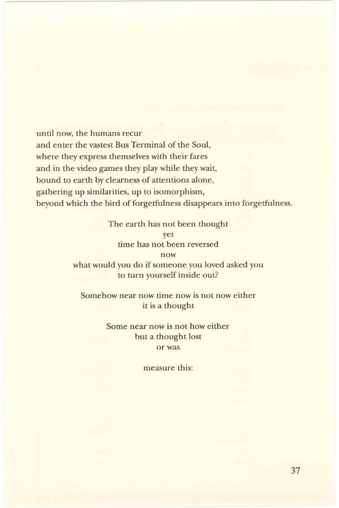until now, the humans recur and enter the vastest Bus Terminal of the Soul, where they express themselves with their fares and in the video games they play while they wait, bound to earth by clearness of attentions alone, gathering up similarities, up to isomorphism, beyond which the bird of forgetfulness disappears into forgetfulness.

> The earth has not been thought yet time has not been reversed now what would you do if someone you loved asked you to turn yourself inside out?

Somehow near now time now is not now either it is a thought

> Some near now is not how either but a thought lost or was

> > measure this: